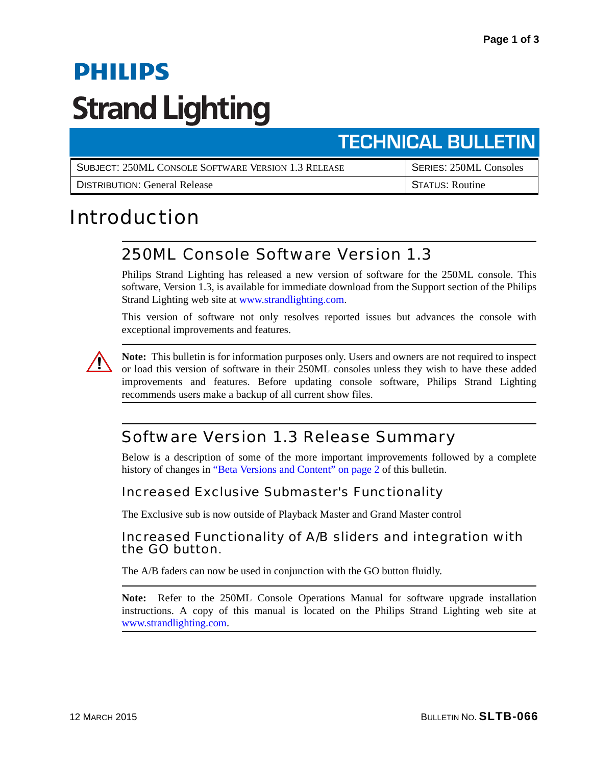# **PHILIPS Strand Lighting**

# **TECHNICAL BULLETIN**

| SUBJECT: 250ML CONSOLE SOFTWARE VERSION 1.3 RELEASE | <b>SERIES: 250ML Consoles</b> |
|-----------------------------------------------------|-------------------------------|
| <b>DISTRIBUTION: General Release</b>                | <b>STATUS: Routine</b>        |

# Introduction

## 250ML Console Software Version 1.3

Philips Strand Lighting has released a new version of software for the 250ML console. This software, Version 1.3, is available for immediate download from the Support section of the Philips Strand Lighting web site at [www.strandlighting.com](http://www.strandlighting.com).

This version of software not only resolves reported issues but advances the console with exceptional improvements and features.



**Note:** This bulletin is for information purposes only. Users and owners are not required to inspect or load this version of software in their 250ML consoles unless they wish to have these added improvements and features. Before updating console software, Philips Strand Lighting recommends users make a backup of all current show files.

## Software Version 1.3 Release Summary

Below is a description of some of the more important improvements followed by a complete history of changes in ["Beta Versions and Content" on page 2](#page-1-0) of this bulletin.

#### Increased Exclusive Submaster's Functionality

The Exclusive sub is now outside of Playback Master and Grand Master control

#### Increased Functionality of A/B sliders and integration with the GO button.

The A/B faders can now be used in conjunction with the GO button fluidly.

**Note:** Refer to the 250ML Console Operations Manual for software upgrade installation instructions. A copy of this manual is located on the Philips Strand Lighting web site at [www.strandlighting.com.](http://www.strandlighting.com)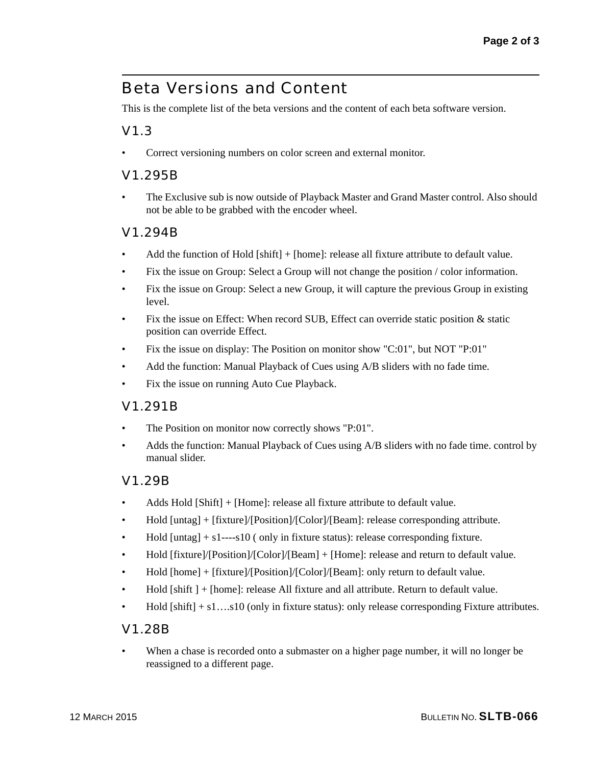### <span id="page-1-0"></span>Beta Versions and Content

This is the complete list of the beta versions and the content of each beta software version.

#### V1.3

Correct versioning numbers on color screen and external monitor.

#### V1.295B

• The Exclusive sub is now outside of Playback Master and Grand Master control. Also should not be able to be grabbed with the encoder wheel.

#### V1.294B

- Add the function of Hold [shift] + [home]: release all fixture attribute to default value.
- Fix the issue on Group: Select a Group will not change the position / color information.
- Fix the issue on Group: Select a new Group, it will capture the previous Group in existing level.
- Fix the issue on Effect: When record SUB, Effect can override static position  $\&$  static position can override Effect.
- Fix the issue on display: The Position on monitor show "C:01", but NOT "P:01"
- Add the function: Manual Playback of Cues using A/B sliders with no fade time.
- Fix the issue on running Auto Cue Playback.

#### V1.291B

- The Position on monitor now correctly shows "P:01".
- Adds the function: Manual Playback of Cues using A/B sliders with no fade time. control by manual slider.

#### V1.29B

- Adds Hold [Shift] + [Home]: release all fixture attribute to default value.
- Hold [untag] + [fixture]/[Position]/[Color]/[Beam]: release corresponding attribute.
- Hold  $[untag] + s1---s10$  (only in fixture status): release corresponding fixture.
- Hold [fixture]/[Position]/[Color]/[Beam] + [Home]: release and return to default value.
- Hold [home] + [fixture]/[Position]/[Color]/[Beam]: only return to default value.
- Hold [shift ] + [home]: release All fixture and all attribute. Return to default value.
- Hold  $[shift] + s1....s10$  (only in fixture status): only release corresponding Fixture attributes.

#### V1.28B

When a chase is recorded onto a submaster on a higher page number, it will no longer be reassigned to a different page.